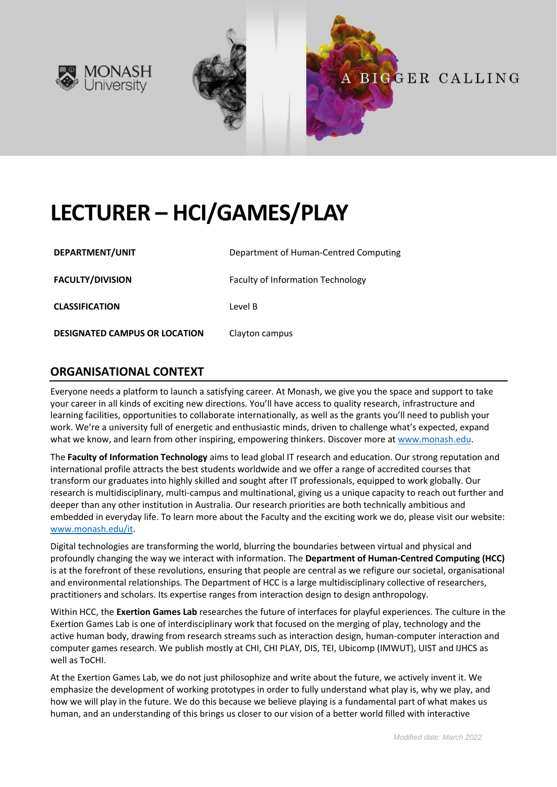



# **LECTURER – HCI/GAMES/PLAY**

| DEPARTMENT/UNIT                      | Department of Human-Centred Computing    |
|--------------------------------------|------------------------------------------|
| <b>FACULTY/DIVISION</b>              | <b>Faculty of Information Technology</b> |
| <b>CLASSIFICATION</b>                | Level B                                  |
| <b>DESIGNATED CAMPUS OR LOCATION</b> | Clayton campus                           |

## **ORGANISATIONAL CONTEXT**

Everyone needs a platform to launch a satisfying career. At Monash, we give you the space and support to take your career in all kinds of exciting new directions. You'll have access to quality research, infrastructure and learning facilities, opportunities to collaborate internationally, as well as the grants you'll need to publish your work. We're a university full of energetic and enthusiastic minds, driven to challenge what's expected, expand what we know, and learn from other inspiring, empowering thinkers. Discover more a[t www.monash.edu.](http://www.monash.edu/)

The **Faculty of Information Technology** aims to lead global IT research and education. Our strong reputation and international profile attracts the best students worldwide and we offer a range of accredited courses that transform our graduates into highly skilled and sought after IT professionals, equipped to work globally. Our research is multidisciplinary, multi-campus and multinational, giving us a unique capacity to reach out further and deeper than any other institution in Australia. Our research priorities are both technically ambitious and embedded in everyday life. To learn more about the Faculty and the exciting work we do, please visit our website: [www.monash.edu/it.](http://www.monash.edu/it)

Digital technologies are transforming the world, blurring the boundaries between virtual and physical and profoundly changing the way we interact with information. The **Department of Human-Centred Computing (HCC)** is at the forefront of these revolutions, ensuring that people are central as we refigure our societal, organisational and environmental relationships. The Department of HCC is a large multidisciplinary collective of researchers, practitioners and scholars. Its expertise ranges from interaction design to design anthropology.

Within HCC, the **Exertion Games Lab** researches the future of interfaces for playful experiences. The culture in the Exertion Games Lab is one of interdisciplinary work that focused on the merging of play, technology and the active human body, drawing from research streams such as interaction design, human-computer interaction and computer games research. We publish mostly at CHI, CHI PLAY, DIS, TEI, Ubicomp (IMWUT), UIST and IJHCS as well as ToCHI.

At the Exertion Games Lab, we do not just philosophize and write about the future, we actively invent it. We emphasize the development of working prototypes in order to fully understand what play is, why we play, and how we will play in the future. We do this because we believe playing is a fundamental part of what makes us human, and an understanding of this brings us closer to our vision of a better world filled with interactive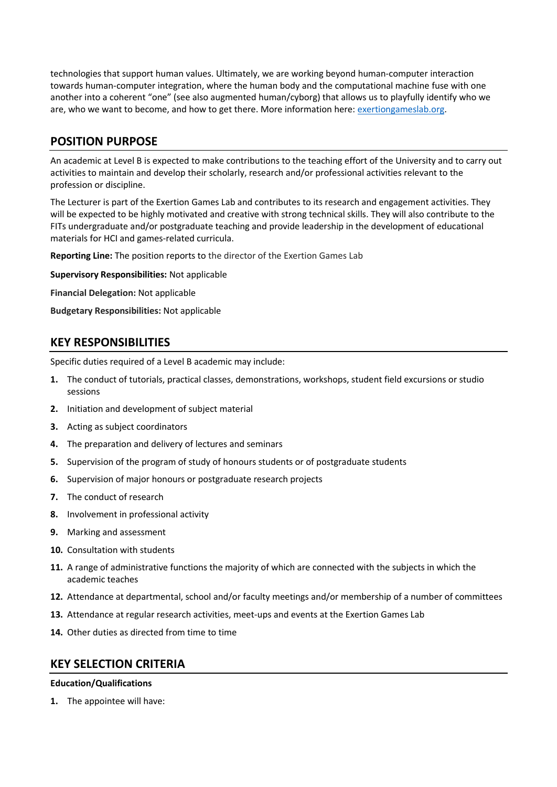technologies that support human values. Ultimately, we are working beyond human-computer interaction towards human-computer integration, where the human body and the computational machine fuse with one another into a coherent "one" (see also augmented human/cyborg) that allows us to playfully identify who we are, who we want to become, and how to get there. More information here: [exertiongameslab.org.](https://exertiongameslab.org/)

## **POSITION PURPOSE**

An academic at Level B is expected to make contributions to the teaching effort of the University and to carry out activities to maintain and develop their scholarly, research and/or professional activities relevant to the profession or discipline.

The Lecturer is part of the Exertion Games Lab and contributes to its research and engagement activities. They will be expected to be highly motivated and creative with strong technical skills. They will also contribute to the FITs undergraduate and/or postgraduate teaching and provide leadership in the development of educational materials for HCI and games-related curricula.

**Reporting Line:** The position reports to the director of the Exertion Games Lab

**Supervisory Responsibilities:** Not applicable

**Financial Delegation:** Not applicable

**Budgetary Responsibilities:** Not applicable

### **KEY RESPONSIBILITIES**

Specific duties required of a Level B academic may include:

- **1.** The conduct of tutorials, practical classes, demonstrations, workshops, student field excursions or studio sessions
- **2.** Initiation and development of subject material
- **3.** Acting as subject coordinators
- **4.** The preparation and delivery of lectures and seminars
- **5.** Supervision of the program of study of honours students or of postgraduate students
- **6.** Supervision of major honours or postgraduate research projects
- **7.** The conduct of research
- **8.** Involvement in professional activity
- **9.** Marking and assessment
- **10.** Consultation with students
- **11.** A range of administrative functions the majority of which are connected with the subjects in which the academic teaches
- **12.** Attendance at departmental, school and/or faculty meetings and/or membership of a number of committees
- **13.** Attendance at regular research activities, meet-ups and events at the Exertion Games Lab
- **14.** Other duties as directed from time to time

### **KEY SELECTION CRITERIA**

#### **Education/Qualifications**

**1.** The appointee will have: